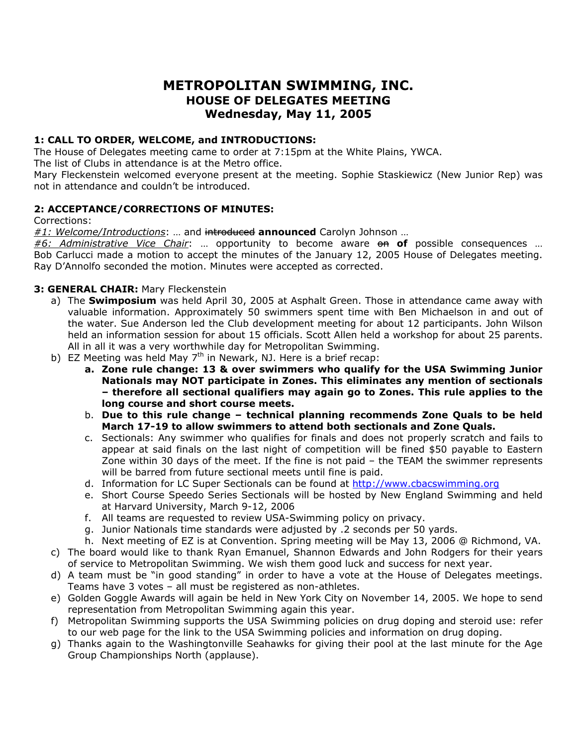# **METROPOLITAN SWIMMING, INC. HOUSE OF DELEGATES MEETING Wednesday, May 11, 2005**

# **1: CALL TO ORDER, WELCOME, and INTRODUCTIONS:**

The House of Delegates meeting came to order at 7:15pm at the White Plains, YWCA.

The list of Clubs in attendance is at the Metro office.

Mary Fleckenstein welcomed everyone present at the meeting. Sophie Staskiewicz (New Junior Rep) was not in attendance and couldn't be introduced.

# **2: ACCEPTANCE/CORRECTIONS OF MINUTES:**

Corrections:

*#1: Welcome/Introductions*: … and introduced **announced** Carolyn Johnson …

#6: Administrative Vice Chair: ... opportunity to become aware on of possible consequences ... Bob Carlucci made a motion to accept the minutes of the January 12, 2005 House of Delegates meeting. Ray D'Annolfo seconded the motion. Minutes were accepted as corrected.

# **3: GENERAL CHAIR:** Mary Fleckenstein

- a) The **Swimposium** was held April 30, 2005 at Asphalt Green. Those in attendance came away with valuable information. Approximately 50 swimmers spent time with Ben Michaelson in and out of the water. Sue Anderson led the Club development meeting for about 12 participants. John Wilson held an information session for about 15 officials. Scott Allen held a workshop for about 25 parents. All in all it was a very worthwhile day for Metropolitan Swimming.
- b) EZ Meeting was held May  $7<sup>th</sup>$  in Newark, NJ. Here is a brief recap:
	- **a. Zone rule change: 13 & over swimmers who qualify for the USA Swimming Junior Nationals may NOT participate in Zones. This eliminates any mention of sectionals – therefore all sectional qualifiers may again go to Zones. This rule applies to the long course and short course meets.**
	- b. **Due to this rule change technical planning recommends Zone Quals to be held March 17-19 to allow swimmers to attend both sectionals and Zone Quals.**
	- c. Sectionals: Any swimmer who qualifies for finals and does not properly scratch and fails to appear at said finals on the last night of competition will be fined \$50 payable to Eastern Zone within 30 days of the meet. If the fine is not paid – the TEAM the swimmer represents will be barred from future sectional meets until fine is paid.
	- d. Information for LC Super Sectionals can be found at [http://www.cbacswimming.org](http://www.cbacswimming.org/)
	- e. Short Course Speedo Series Sectionals will be hosted by New England Swimming and held at Harvard University, March 9-12, 2006
	- f. All teams are requested to review USA-Swimming policy on privacy.
	- g. Junior Nationals time standards were adjusted by .2 seconds per 50 yards.
	- h. Next meeting of EZ is at Convention. Spring meeting will be May 13, 2006 @ Richmond, VA.
- c) The board would like to thank Ryan Emanuel, Shannon Edwards and John Rodgers for their years of service to Metropolitan Swimming. We wish them good luck and success for next year.
- d) A team must be "in good standing" in order to have a vote at the House of Delegates meetings. Teams have 3 votes – all must be registered as non-athletes.
- e) Golden Goggle Awards will again be held in New York City on November 14, 2005. We hope to send representation from Metropolitan Swimming again this year.
- f) Metropolitan Swimming supports the USA Swimming policies on drug doping and steroid use: refer to our web page for the link to the USA Swimming policies and information on drug doping.
- g) Thanks again to the Washingtonville Seahawks for giving their pool at the last minute for the Age Group Championships North (applause).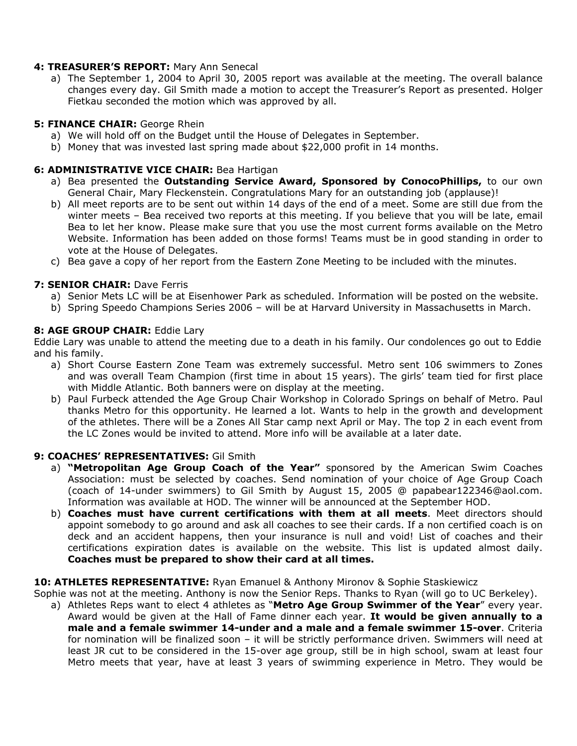# **4: TREASURER'S REPORT:** Mary Ann Senecal

a) The September 1, 2004 to April 30, 2005 report was available at the meeting. The overall balance changes every day. Gil Smith made a motion to accept the Treasurer's Report as presented. Holger Fietkau seconded the motion which was approved by all.

## **5: FINANCE CHAIR:** George Rhein

- a) We will hold off on the Budget until the House of Delegates in September.
- b) Money that was invested last spring made about \$22,000 profit in 14 months.

## **6: ADMINISTRATIVE VICE CHAIR:** Bea Hartigan

- a) Bea presented the **Outstanding Service Award, Sponsored by ConocoPhillips,** to our own General Chair, Mary Fleckenstein. Congratulations Mary for an outstanding job (applause)!
- b) All meet reports are to be sent out within 14 days of the end of a meet. Some are still due from the winter meets – Bea received two reports at this meeting. If you believe that you will be late, email Bea to let her know. Please make sure that you use the most current forms available on the Metro Website. Information has been added on those forms! Teams must be in good standing in order to vote at the House of Delegates.
- c) Bea gave a copy of her report from the Eastern Zone Meeting to be included with the minutes.

## **7: SENIOR CHAIR: Dave Ferris**

- a) Senior Mets LC will be at Eisenhower Park as scheduled. Information will be posted on the website.
- b) Spring Speedo Champions Series 2006 will be at Harvard University in Massachusetts in March.

## **8: AGE GROUP CHAIR:** Eddie Lary

Eddie Lary was unable to attend the meeting due to a death in his family. Our condolences go out to Eddie and his family.

- a) Short Course Eastern Zone Team was extremely successful. Metro sent 106 swimmers to Zones and was overall Team Champion (first time in about 15 years). The girls' team tied for first place with Middle Atlantic. Both banners were on display at the meeting.
- b) Paul Furbeck attended the Age Group Chair Workshop in Colorado Springs on behalf of Metro. Paul thanks Metro for this opportunity. He learned a lot. Wants to help in the growth and development of the athletes. There will be a Zones All Star camp next April or May. The top 2 in each event from the LC Zones would be invited to attend. More info will be available at a later date.

#### **9: COACHES' REPRESENTATIVES:** Gil Smith

- a) **"Metropolitan Age Group Coach of the Year"** sponsored by the American Swim Coaches Association: must be selected by coaches. Send nomination of your choice of Age Group Coach (coach of 14-under swimmers) to Gil Smith by August 15, 2005 @ papabear122346@aol.com. Information was available at HOD. The winner will be announced at the September HOD.
- b) **Coaches must have current certifications with them at all meets**. Meet directors should appoint somebody to go around and ask all coaches to see their cards. If a non certified coach is on deck and an accident happens, then your insurance is null and void! List of coaches and their certifications expiration dates is available on the website. This list is updated almost daily. **Coaches must be prepared to show their card at all times.**

#### **10: ATHLETES REPRESENTATIVE:** Ryan Emanuel & Anthony Mironov & Sophie Staskiewicz

Sophie was not at the meeting. Anthony is now the Senior Reps. Thanks to Ryan (will go to UC Berkeley).

a) Athletes Reps want to elect 4 athletes as "**Metro Age Group Swimmer of the Year**" every year. Award would be given at the Hall of Fame dinner each year. **It would be given annually to a male and a female swimmer 14-under and a male and a female swimmer 15-over**. Criteria for nomination will be finalized soon – it will be strictly performance driven. Swimmers will need at least JR cut to be considered in the 15-over age group, still be in high school, swam at least four Metro meets that year, have at least 3 years of swimming experience in Metro. They would be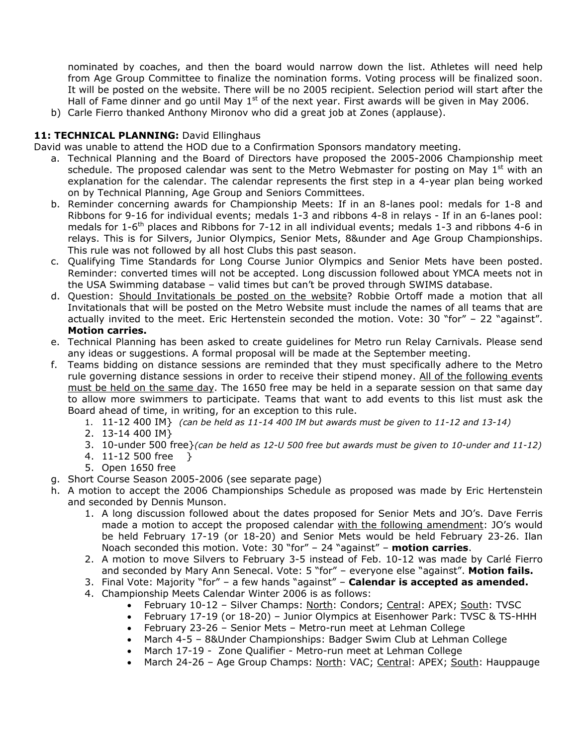nominated by coaches, and then the board would narrow down the list. Athletes will need help from Age Group Committee to finalize the nomination forms. Voting process will be finalized soon. It will be posted on the website. There will be no 2005 recipient. Selection period will start after the Hall of Fame dinner and go until May  $1<sup>st</sup>$  of the next year. First awards will be given in May 2006.

b) Carle Fierro thanked Anthony Mironov who did a great job at Zones (applause).

# 11: TECHNICAL PLANNING: David Ellinghaus

David was unable to attend the HOD due to a Confirmation Sponsors mandatory meeting.

- a. Technical Planning and the Board of Directors have proposed the 2005-2006 Championship meet schedule. The proposed calendar was sent to the Metro Webmaster for posting on May  $1<sup>st</sup>$  with an explanation for the calendar. The calendar represents the first step in a 4-year plan being worked on by Technical Planning, Age Group and Seniors Committees.
- b. Reminder concerning awards for Championship Meets: If in an 8-lanes pool: medals for 1-8 and Ribbons for 9-16 for individual events; medals 1-3 and ribbons 4-8 in relays - If in an 6-lanes pool: medals for  $1-6^{th}$  places and Ribbons for 7-12 in all individual events; medals 1-3 and ribbons 4-6 in relays. This is for Silvers, Junior Olympics, Senior Mets, 8&under and Age Group Championships. This rule was not followed by all host Clubs this past season.
- c. Qualifying Time Standards for Long Course Junior Olympics and Senior Mets have been posted. Reminder: converted times will not be accepted. Long discussion followed about YMCA meets not in the USA Swimming database – valid times but can't be proved through SWIMS database.
- d. Question: Should Invitationals be posted on the website? Robbie Ortoff made a motion that all Invitationals that will be posted on the Metro Website must include the names of all teams that are actually invited to the meet. Eric Hertenstein seconded the motion. Vote: 30 "for" – 22 "against". **Motion carries.**
- e. Technical Planning has been asked to create guidelines for Metro run Relay Carnivals. Please send any ideas or suggestions. A formal proposal will be made at the September meeting.
- f. Teams bidding on distance sessions are reminded that they must specifically adhere to the Metro rule governing distance sessions in order to receive their stipend money. All of the following events must be held on the same day. The 1650 free may be held in a separate session on that same day to allow more swimmers to participate. Teams that want to add events to this list must ask the Board ahead of time, in writing, for an exception to this rule.
	- 1. 11-12 400 IM} *(can be held as 11-14 400 IM but awards must be given to 11-12 and 13-14)*
	- 2. 13-14 400 IM}
	- 3. 10-under 500 free}*(can be held as 12-U 500 free but awards must be given to 10-under and 11-12)*
	- 4. 11-12 500 free }
	- 5. Open 1650 free
- g. Short Course Season 2005-2006 (see separate page)
- h. A motion to accept the 2006 Championships Schedule as proposed was made by Eric Hertenstein and seconded by Dennis Munson.
	- 1. A long discussion followed about the dates proposed for Senior Mets and JO's. Dave Ferris made a motion to accept the proposed calendar with the following amendment: JO's would be held February 17-19 (or 18-20) and Senior Mets would be held February 23-26. Ilan Noach seconded this motion. Vote: 30 "for" – 24 "against" – **motion carries**.
	- 2. A motion to move Silvers to February 3-5 instead of Feb. 10-12 was made by Carlé Fierro and seconded by Mary Ann Senecal. Vote: 5 "for" – everyone else "against". **Motion fails.**
	- 3. Final Vote: Majority "for" a few hands "against" **Calendar is accepted as amended.**
	- 4. Championship Meets Calendar Winter 2006 is as follows:
		- February 10-12 Silver Champs: North: Condors; Central: APEX; South: TVSC
		- February 17-19 (or 18-20) Junior Olympics at Eisenhower Park: TVSC & TS-HHH
		- February 23-26 Senior Mets Metro-run meet at Lehman College
		- March 4-5 8&Under Championships: Badger Swim Club at Lehman College
		- March 17-19 Zone Qualifier Metro-run meet at Lehman College
		- March 24-26 Age Group Champs: North: VAC; Central: APEX; South: Hauppauge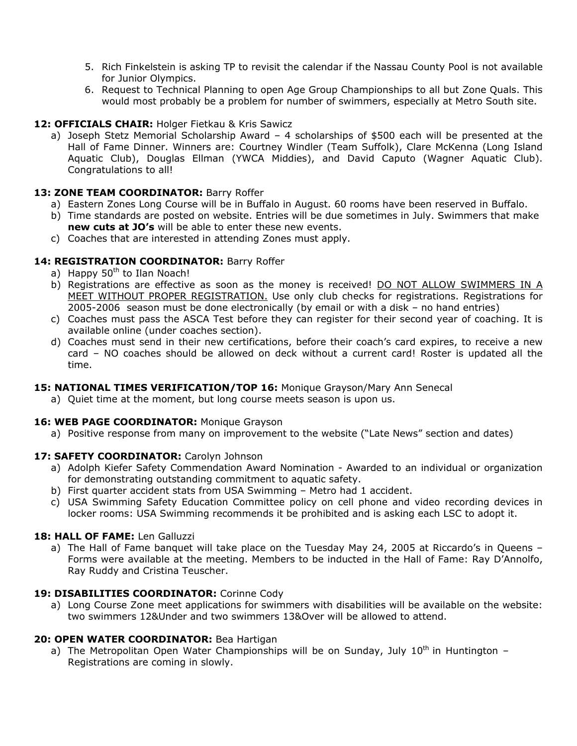- 5. Rich Finkelstein is asking TP to revisit the calendar if the Nassau County Pool is not available for Junior Olympics.
- 6. Request to Technical Planning to open Age Group Championships to all but Zone Quals. This would most probably be a problem for number of swimmers, especially at Metro South site.

# **12: OFFICIALS CHAIR:** Holger Fietkau & Kris Sawicz

a) Joseph Stetz Memorial Scholarship Award – 4 scholarships of \$500 each will be presented at the Hall of Fame Dinner. Winners are: Courtney Windler (Team Suffolk), Clare McKenna (Long Island Aquatic Club), Douglas Ellman (YWCA Middies), and David Caputo (Wagner Aquatic Club). Congratulations to all!

# 13: **ZONE TEAM COORDINATOR: Barry Roffer**

- a) Eastern Zones Long Course will be in Buffalo in August. 60 rooms have been reserved in Buffalo.
- b) Time standards are posted on website. Entries will be due sometimes in July. Swimmers that make **new cuts at JO's** will be able to enter these new events.
- c) Coaches that are interested in attending Zones must apply.

# **14: REGISTRATION COORDINATOR:** Barry Roffer

- a) Happy  $50<sup>th</sup>$  to Ilan Noach!
- b) Registrations are effective as soon as the money is received! DO NOT ALLOW SWIMMERS IN A MEET WITHOUT PROPER REGISTRATION. Use only club checks for registrations. Registrations for 2005-2006 season must be done electronically (by email or with a disk – no hand entries)
- c) Coaches must pass the ASCA Test before they can register for their second year of coaching. It is available online (under coaches section).
- d) Coaches must send in their new certifications, before their coach's card expires, to receive a new card – NO coaches should be allowed on deck without a current card! Roster is updated all the time.

# **15: NATIONAL TIMES VERIFICATION/TOP 16:** Monique Grayson/Mary Ann Senecal

a) Quiet time at the moment, but long course meets season is upon us.

# 16: WEB PAGE COORDINATOR: Monique Grayson

a) Positive response from many on improvement to the website ("Late News" section and dates)

# **17: SAFETY COORDINATOR:** Carolyn Johnson

- a) Adolph Kiefer Safety Commendation Award Nomination Awarded to an individual or organization for demonstrating outstanding commitment to aquatic safety.
- b) First quarter accident stats from USA Swimming Metro had 1 accident.
- c) USA Swimming Safety Education Committee policy on cell phone and video recording devices in locker rooms: USA Swimming recommends it be prohibited and is asking each LSC to adopt it.

# **18: HALL OF FAME:** Len Galluzzi

a) The Hall of Fame banquet will take place on the Tuesday May 24, 2005 at Riccardo's in Queens – Forms were available at the meeting. Members to be inducted in the Hall of Fame: Ray D'Annolfo, Ray Ruddy and Cristina Teuscher.

# **19: DISABILITIES COORDINATOR:** Corinne Cody

a) Long Course Zone meet applications for swimmers with disabilities will be available on the website: two swimmers 12&Under and two swimmers 13&Over will be allowed to attend.

# **20: OPEN WATER COORDINATOR:** Bea Hartigan

a) The Metropolitan Open Water Championships will be on Sunday, July  $10<sup>th</sup>$  in Huntington – Registrations are coming in slowly.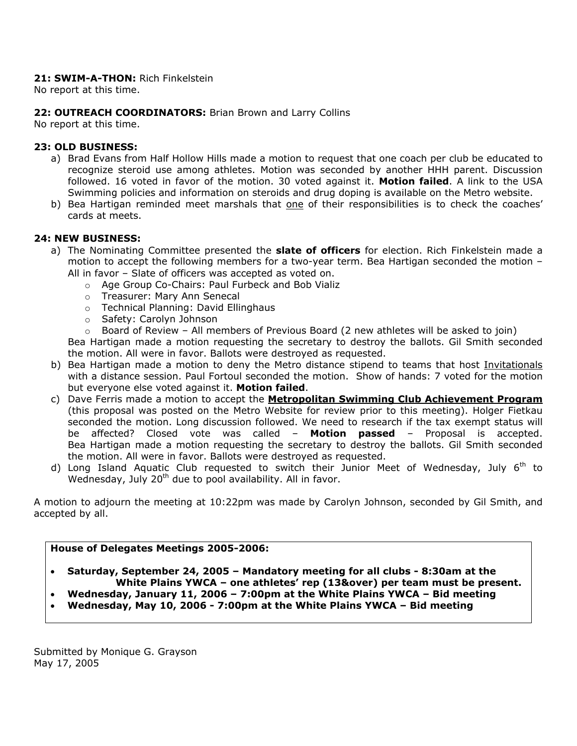## **21: SWIM-A-THON:** Rich Finkelstein

No report at this time.

## **22: OUTREACH COORDINATORS:** Brian Brown and Larry Collins

No report at this time.

#### **23: OLD BUSINESS:**

- a) Brad Evans from Half Hollow Hills made a motion to request that one coach per club be educated to recognize steroid use among athletes. Motion was seconded by another HHH parent. Discussion followed. 16 voted in favor of the motion. 30 voted against it. **Motion failed**. A link to the USA Swimming policies and information on steroids and drug doping is available on the Metro website.
- b) Bea Hartigan reminded meet marshals that one of their responsibilities is to check the coaches' cards at meets.

## **24: NEW BUSINESS:**

- a) The Nominating Committee presented the **slate of officers** for election. Rich Finkelstein made a motion to accept the following members for a two-year term. Bea Hartigan seconded the motion – All in favor – Slate of officers was accepted as voted on.
	- o Age Group Co-Chairs: Paul Furbeck and Bob Vializ
	- o Treasurer: Mary Ann Senecal
	- o Technical Planning: David Ellinghaus
	- o Safety: Carolyn Johnson
	- $\circ$  Board of Review All members of Previous Board (2 new athletes will be asked to join)

Bea Hartigan made a motion requesting the secretary to destroy the ballots. Gil Smith seconded the motion. All were in favor. Ballots were destroyed as requested.

- b) Bea Hartigan made a motion to deny the Metro distance stipend to teams that host Invitationals with a distance session. Paul Fortoul seconded the motion. Show of hands: 7 voted for the motion but everyone else voted against it. **Motion failed**.
- c) Dave Ferris made a motion to accept the **Metropolitan Swimming Club Achievement Program** (this proposal was posted on the Metro Website for review prior to this meeting). Holger Fietkau seconded the motion. Long discussion followed. We need to research if the tax exempt status will be affected? Closed vote was called – **Motion passed** – Proposal is accepted. Bea Hartigan made a motion requesting the secretary to destroy the ballots. Gil Smith seconded the motion. All were in favor. Ballots were destroyed as requested.
- d) Long Island Aquatic Club requested to switch their Junior Meet of Wednesday, July  $6<sup>th</sup>$  to Wednesday, July 20<sup>th</sup> due to pool availability. All in favor.

A motion to adjourn the meeting at 10:22pm was made by Carolyn Johnson, seconded by Gil Smith, and accepted by all.

#### **House of Delegates Meetings 2005-2006:**

• **Saturday, September 24, 2005 – Mandatory meeting for all clubs - 8:30am at the White Plains YWCA – one athletes' rep (13&over) per team must be present.** 

- **Wednesday, January 11, 2006 7:00pm at the White Plains YWCA Bid meeting**
- **Wednesday, May 10, 2006 7:00pm at the White Plains YWCA Bid meeting**

Submitted by Monique G. Grayson May 17, 2005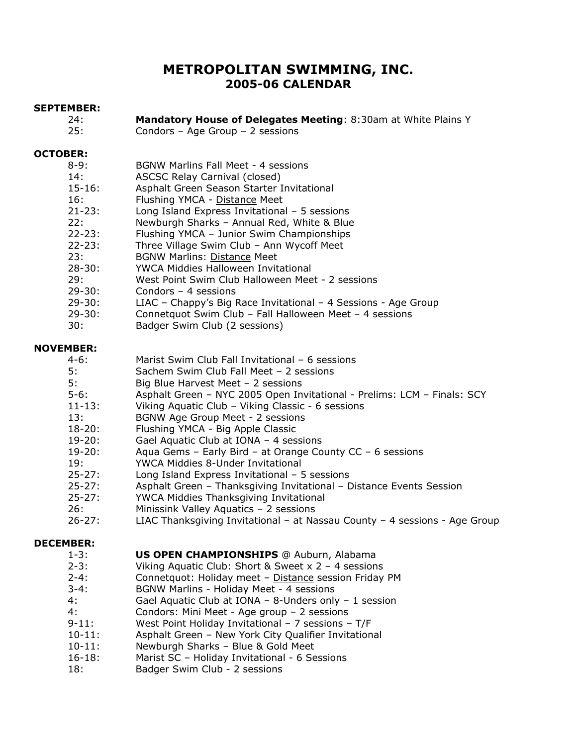# **METROPOLITAN SWIMMING, INC. 2005-06 CALENDAR**

#### **SEPTEMBER:**

- 24: **Mandatory House of Delegates Meeting**: 8:30am at White Plains Y
- 25: Condors Age Group 2 sessions

#### **OCTOBER:**

| $8 - 9:$    | <b>BGNW Marlins Fall Meet - 4 sessions</b>                     |
|-------------|----------------------------------------------------------------|
| 14:         | ASCSC Relay Carnival (closed)                                  |
| $15 - 16$ : | Asphalt Green Season Starter Invitational                      |
| 16:         | Flushing YMCA - Distance Meet                                  |
| $21 - 23:$  | Long Island Express Invitational $-5$ sessions                 |
| 22:         | Newburgh Sharks - Annual Red, White & Blue                     |
| $22 - 23:$  | Flushing YMCA - Junior Swim Championships                      |
| $22 - 23:$  | Three Village Swim Club - Ann Wycoff Meet                      |
| 23:         | <b>BGNW Marlins: Distance Meet</b>                             |
| $28 - 30:$  | YWCA Middies Halloween Invitational                            |
| 29:         | West Point Swim Club Halloween Meet - 2 sessions               |
| $29 - 30:$  | Condors $-4$ sessions                                          |
| $29 - 30:$  | LIAC - Chappy's Big Race Invitational - 4 Sessions - Age Group |
| . חרים      | Connetaust Cuim Club Fell Hellewson Meet Agossians             |

- 29-30: Connetquot Swim Club Fall Halloween Meet 4 sessions
- 30: Badger Swim Club (2 sessions)

## **NOVEMBER:**

- 5: Sachem Swim Club Fall Meet 2 sessions
- 5: Big Blue Harvest Meet 2 sessions
- 5-6: Asphalt Green NYC 2005 Open Invitational Prelims: LCM Finals: SCY
- 11-13: Viking Aquatic Club Viking Classic 6 sessions
- 13: BGNW Age Group Meet 2 sessions
- 18-20: Flushing YMCA Big Apple Classic
- 19-20: Gael Aquatic Club at IONA 4 sessions
- 19-20: Aqua Gems Early Bird at Orange County CC 6 sessions
- 19: YWCA Middies 8-Under Invitational
- 25-27: Long Island Express Invitational 5 sessions
- 25-27: Asphalt Green Thanksgiving Invitational Distance Events Session<br>25-27: YWCA Middies Thanksgiving Invitational
- YWCA Middies Thanksgiving Invitational
- 26: Minissink Valley Aquatics 2 sessions
- 26-27: LIAC Thanksgiving Invitational at Nassau County 4 sessions Age Group

#### **DECEMBER:**

- 1-3: **US OPEN CHAMPIONSHIPS** @ Auburn, Alabama
- 2-3: Viking Aquatic Club: Short & Sweet x 2 4 sessions
- 2-4: Connetquot: Holiday meet Distance session Friday PM
- 3-4: BGNW Marlins Holiday Meet 4 sessions
- 4: Gael Aquatic Club at IONA 8-Unders only 1 session
- 4: Condors: Mini Meet Age group 2 sessions
- 9-11: West Point Holiday Invitational 7 sessions T/F
- 10-11: Asphalt Green New York City Qualifier Invitational
- 10-11: Newburgh Sharks Blue & Gold Meet
- 16-18: Marist SC Holiday Invitational 6 Sessions
- 18: Badger Swim Club 2 sessions